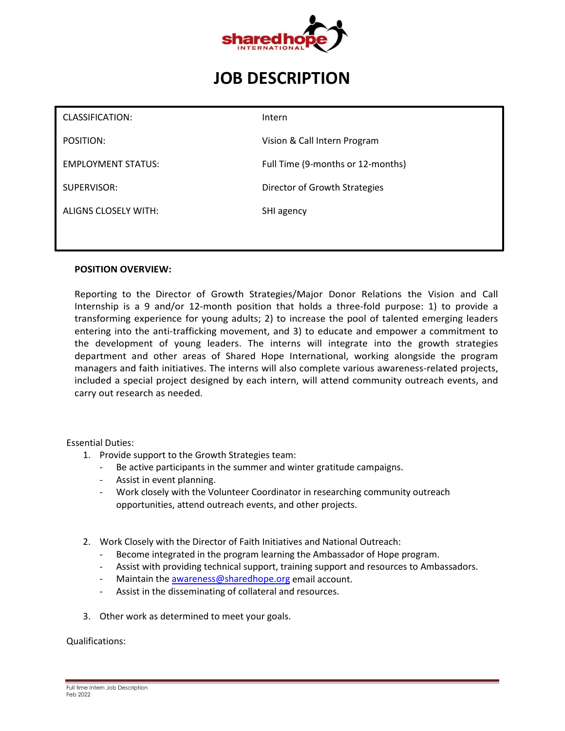

# **JOB DESCRIPTION**

| CLASSIFICATION:           | Intern                            |
|---------------------------|-----------------------------------|
| POSITION:                 | Vision & Call Intern Program      |
| <b>EMPLOYMENT STATUS:</b> | Full Time (9-months or 12-months) |
| SUPERVISOR:               | Director of Growth Strategies     |
| ALIGNS CLOSELY WITH:      | SHI agency                        |
|                           |                                   |

#### **POSITION OVERVIEW:**

Reporting to the Director of Growth Strategies/Major Donor Relations the Vision and Call Internship is a 9 and/or 12-month position that holds a three-fold purpose: 1) to provide a transforming experience for young adults; 2) to increase the pool of talented emerging leaders entering into the anti-trafficking movement, and 3) to educate and empower a commitment to the development of young leaders. The interns will integrate into the growth strategies department and other areas of Shared Hope International, working alongside the program managers and faith initiatives. The interns will also complete various awareness-related projects, included a special project designed by each intern, will attend community outreach events, and carry out research as needed.

Essential Duties:

- 1. Provide support to the Growth Strategies team:
	- Be active participants in the summer and winter gratitude campaigns.
	- Assist in event planning.
	- Work closely with the Volunteer Coordinator in researching community outreach opportunities, attend outreach events, and other projects.
- 2. Work Closely with the Director of Faith Initiatives and National Outreach:
	- Become integrated in the program learning the Ambassador of Hope program.
	- Assist with providing technical support, training support and resources to Ambassadors.
	- Maintain the [awareness@sharedhope.org](mailto:awareness@sharedhope.org) email account.
	- Assist in the disseminating of collateral and resources.
- 3. Other work as determined to meet your goals.

Qualifications: